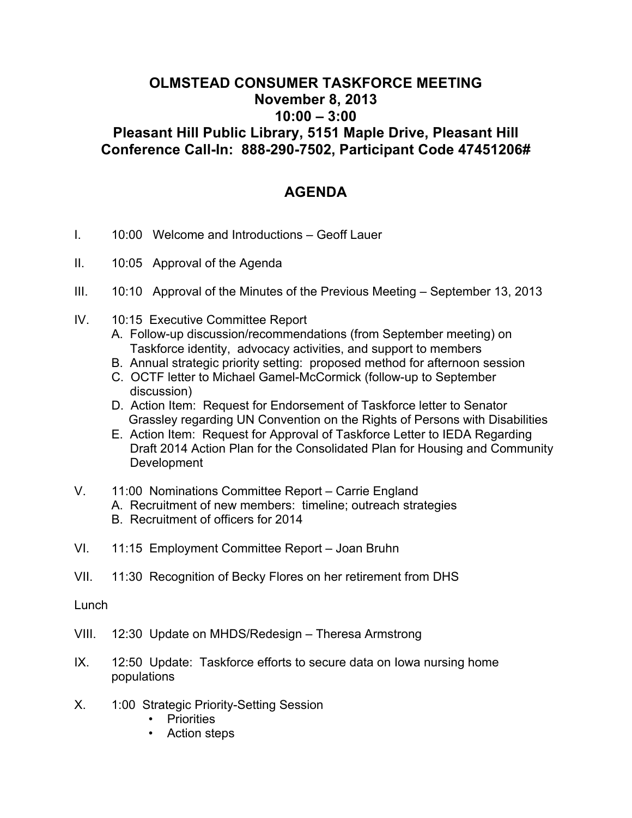## **OLMSTEAD CONSUMER TASKFORCE MEETING November 8, 2013 10:00 – 3:00 Pleasant Hill Public Library, 5151 Maple Drive, Pleasant Hill Conference Call-In: 888-290-7502, Participant Code 47451206#**

## **AGENDA**

- I. 10:00 Welcome and Introductions Geoff Lauer
- II. 10:05 Approval of the Agenda
- III. 10:10 Approval of the Minutes of the Previous Meeting September 13, 2013
- IV. 10:15 Executive Committee Report
	- A. Follow-up discussion/recommendations (from September meeting) on Taskforce identity, advocacy activities, and support to members
	- B. Annual strategic priority setting: proposed method for afternoon session
	- C. OCTF letter to Michael Gamel-McCormick (follow-up to September discussion)
	- D. Action Item: Request for Endorsement of Taskforce letter to Senator Grassley regarding UN Convention on the Rights of Persons with Disabilities
	- E. Action Item: Request for Approval of Taskforce Letter to IEDA Regarding Draft 2014 Action Plan for the Consolidated Plan for Housing and Community Development
- V. 11:00 Nominations Committee Report Carrie England
	- A. Recruitment of new members: timeline; outreach strategies
	- B. Recruitment of officers for 2014
- VI. 11:15 Employment Committee Report Joan Bruhn
- VII. 11:30 Recognition of Becky Flores on her retirement from DHS

Lunch

- VIII. 12:30 Update on MHDS/Redesign Theresa Armstrong
- IX. 12:50 Update: Taskforce efforts to secure data on Iowa nursing home populations
- X. 1:00 Strategic Priority-Setting Session
	- Priorities
	- Action steps